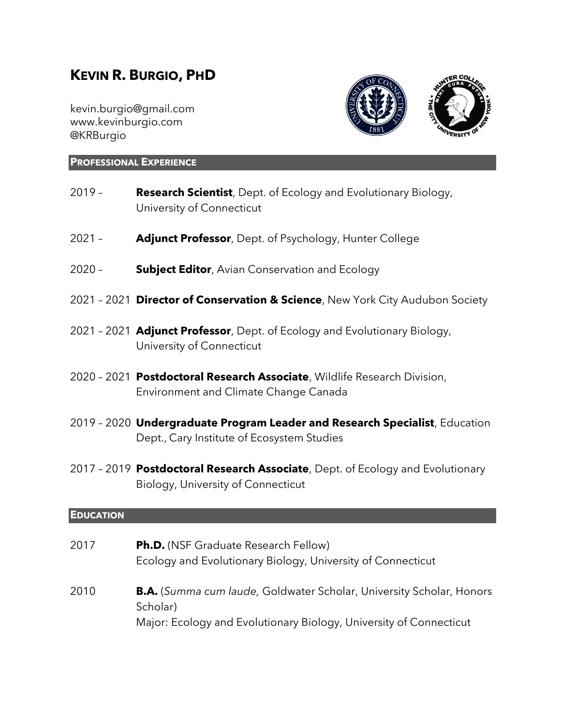# **KEVIN R. BURGIO, PHD**

kevin.burgio@gmail.com [www.kevinburgio.com](http://www.kevinburgio.com/) [@KRBurgio](https://twitter.com/KRBurgio)



#### **PROFESSIONAL EXPERIENCE**

- 2019 **Research Scientist**, Dept. of Ecology and Evolutionary Biology, University of Connecticut
- 2021 **Adjunct Professor**, Dept. of Psychology, Hunter College
- 2020 **Subject Editor**, Avian Conservation and Ecology
- 2021 2021 **Director of Conservation & Science**, New York City Audubon Society
- 2021 2021 **Adjunct Professor**, Dept. of Ecology and Evolutionary Biology, University of Connecticut
- 2020 2021 **Postdoctoral Research Associate**, Wildlife Research Division, Environment and Climate Change Canada
- 2019 2020 **Undergraduate Program Leader and Research Specialist**, Education Dept., Cary Institute of Ecosystem Studies
- 2017 2019 **Postdoctoral Research Associate**, Dept. of Ecology and Evolutionary Biology, University of Connecticut

#### **EDUCATION**

| 2017 | <b>Ph.D.</b> (NSF Graduate Research Fellow)<br>Ecology and Evolutionary Biology, University of Connecticut                                                    |
|------|---------------------------------------------------------------------------------------------------------------------------------------------------------------|
| 2010 | <b>B.A.</b> (Summa cum laude, Goldwater Scholar, University Scholar, Honors<br>Scholar)<br>Major: Ecology and Evolutionary Biology, University of Connecticut |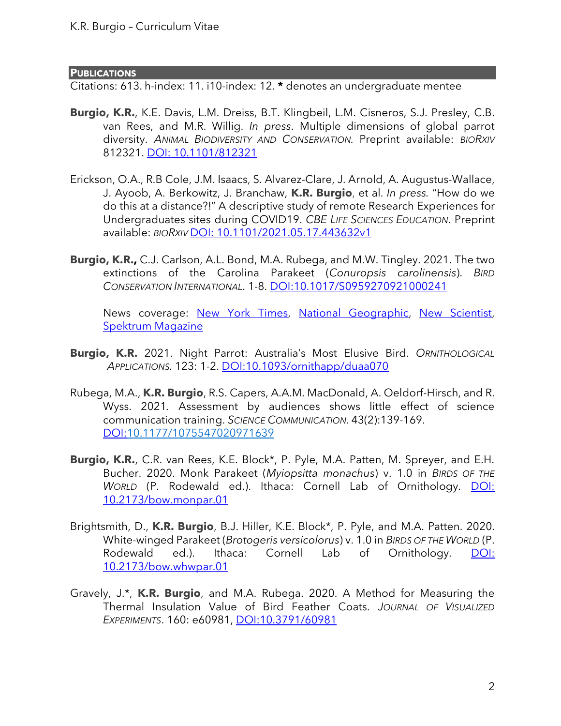#### **PUBLICATIONS**

Citations: 613. h-index: 11. i10-index: 12. **\*** denotes an undergraduate mentee

- **Burgio, K.R.**, K.E. Davis, L.M. Dreiss, B.T. Klingbeil, L.M. Cisneros, S.J. Presley, C.B. van Rees, and M.R. Willig. *In press*. Multiple dimensions of global parrot diversity. *ANIMAL BIODIVERSITY AND CONSERVATION.* Preprint available: *BIORXIV* 812321. [DOI: 10.1101/812321](https://doi.org/10.1101/812321)
- Erickson, O.A., R.B Cole, J.M. Isaacs, S. Alvarez-Clare, J. Arnold, A. Augustus-Wallace, J. Ayoob, A. Berkowitz, J. Branchaw, **K.R. Burgio**, et al. *In press.* "How do we do this at a distance?!" A descriptive study of remote Research Experiences for Undergraduates sites during COVID19. *CBE LIFE SCIENCES EDUCATION*. Preprint available: *BIORXIV* [DOI: 10.1101/2021.05.17.443632v1](https://www.biorxiv.org/content/10.1101/2021.05.17.443632v1)
- **Burgio, K.R.,** C.J. Carlson, A.L. Bond, M.A. Rubega, and M.W. Tingley. 2021. The two extinctions of the Carolina Parakeet (*Conuropsis carolinensis*). *BIRD CONSERVATION INTERNATIONAL*. 1-8. [DOI:10.1017/S0959270921000241](https://doi.org/10.1017/S0959270921000241)

News coverage: [New York Times,](https://www.nytimes.com/2019/12/20/science/carolina-parakeet-genome.html) [National Geographic,](https://www.nationalgeographic.com/animals/2019/12/carolina-parakeets-extinction-birds-united-states/) [New Scientist,](https://www.newscientist.com/article/2223023-lost-us-parrot-species-went-extinct-not-once-but-twice/) [Spektrum Magazine](https://www.spektrum.de/news/der-einzige-us-sittich-starb-zweimal-aus/1686246)

- **Burgio, K.R.** 2021. Night Parrot: Australia's Most Elusive Bird. *ORNITHOLOGICAL APPLICATIONS.* 123: 1-2. [DOI:10.1093/ornithapp/duaa070](https://doi.org/10.1093/ornithapp/duaa070)
- Rubega, M.A., **K.R. Burgio**, R.S. Capers, A.A.M. MacDonald, A. Oeldorf-Hirsch, and R. Wyss. 2021*.* Assessment by audiences shows little effect of science communication training. *SCIENCE COMMUNICATION.* 43(2):139-169. [DOI:](https://journals.sagepub.com/doi/pdf/10.1177/1075547020971639)[10.1177/1075547020971639](https://doi.org/10.1177/1075547020971639)
- **Burgio, K.R.**, C.R. van Rees, K.E. Block\*, P. Pyle, M.A. Patten, M. Spreyer, and E.H. Bucher. 2020. Monk Parakeet (*Myiopsitta monachus*) v. 1.0 in *BIRDS OF THE WORLD* (P. Rodewald ed.). Ithaca: Cornell Lab of Ornithology. **DOI:** [10.2173/bow.monpar.01](https://doi.org/10.2173/bow.monpar.01)
- Brightsmith, D., **K.R. Burgio**, B.J. Hiller, K.E. Block\*, P. Pyle, and M.A. Patten. 2020. White-winged Parakeet (*Brotogeris versicolorus*) v. 1.0 in *BIRDS OF THE WORLD* (P. Rodewald ed.). Ithaca: Cornell Lab of Ornithology. [DOI:](https://doi.org/10.2173/bow.whwpar.01)  [10.2173/bow.whwpar.01](https://doi.org/10.2173/bow.whwpar.01)
- Gravely, J.\*, **K.R. Burgio**, and M.A. Rubega. 2020. A Method for Measuring the Thermal Insulation Value of Bird Feather Coats. *JOURNAL OF VISUALIZED EXPERIMENTS*. 160: e60981, [DOI:10.3791/60981](https://www.jove.com/pdf/60981)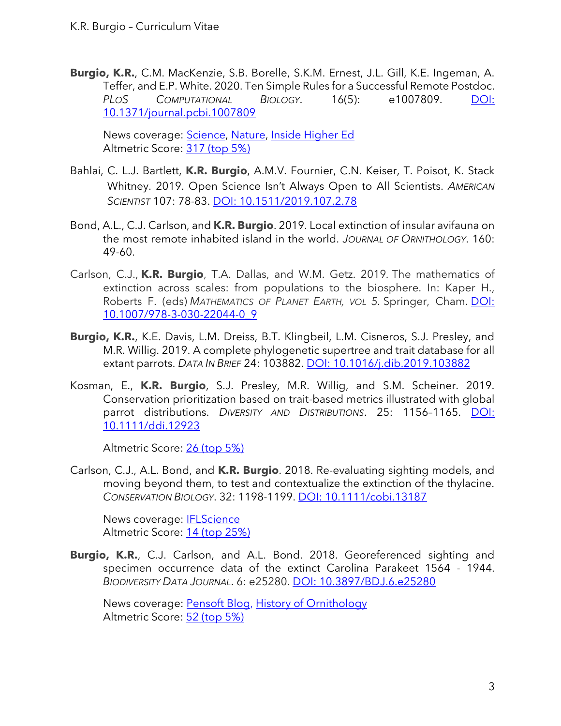**Burgio, K.R.**, C.M. MacKenzie, S.B. Borelle, S.K.M. Ernest, J.L. Gill, K.E. Ingeman, A. Teffer, and E.P. White. 2020. Ten Simple Rules for a Successful Remote Postdoc. *PLOS COMPUTATIONAL BIOLOGY*. 16(5): e1007809. [DOI:](https://journals.plos.org/ploscompbiol/article?id=10.1371/journal.pcbi.1007809)  [10.1371/journal.pcbi.1007809](https://journals.plos.org/ploscompbiol/article?id=10.1371/journal.pcbi.1007809)

News coverage: [Science,](https://www.sciencemag.org/careers/2020/05/it-s-competitive-advantage-scientists-tout-benefits-hiring-remote-postdocs) [Nature,](https://www.natureindex.com/news-blog/kevin-burgio-ten-rules-for-a-successful-remote-postdoc) [Inside Higher Ed](https://www.insidehighered.com/news/2020/03/27/rise-remote-phd-defense) [Altmetric Score: 317](https://www.altmetric.com/details/65123996) (top 5%)

- Bahlai, C. L.J. Bartlett, **K.R. Burgio**, A.M.V. Fournier, C.N. Keiser, T. Poisot, K. Stack Whitney. 2019. Open Science Isn't Always Open to All Scientists. *AMERICAN SCIENTIST* 107: 78-83. [DOI: 10.1511/2019.107.2.78](https://www.americanscientist.org/article/open-science-isnt-always-open-to-all-scientists)
- Bond, A.L., C.J. Carlson, and **K.R. Burgio**. 2019. Local extinction of insular avifauna on the most remote inhabited island in the world. *JOURNAL OF ORNITHOLOGY*. 160: 49-60.
- Carlson, C.J., **K.R. Burgio**, T.A. Dallas, and W.M. Getz. 2019*.* The mathematics of extinction across scales: from populations to the biosphere. In: Kaper H., Roberts F. (eds) *MATHEMATICS OF PLANET EARTH, VOL 5.* Springer, Cham. [DOI:](https://doi.org/10.1007/978-3-030-22044-0_9)  [10.1007/978-3-030-22044-0\\_9](https://doi.org/10.1007/978-3-030-22044-0_9)
- **Burgio, K.R.**, K.E. Davis, L.M. Dreiss, B.T. Klingbeil, L.M. Cisneros, S.J. Presley, and M.R. Willig. 2019. A complete phylogenetic supertree and trait database for all extant parrots. *DATA IN BRIEF* 24: 103882. [DOI: 10.1016/j.dib.2019.103882](https://doi.org/10.1016/j.dib.2019.103882)
- Kosman, E., **K.R. Burgio**, S.J. Presley, M.R. Willig, and S.M. Scheiner. 2019. Conservation prioritization based on trait-based metrics illustrated with global parrot distributions. *DIVERSITY AND DISTRIBUTIONS*. 25: 1156–1165. [DOI:](https://onlinelibrary.wiley.com/doi/pdf/10.1111/ddi.12923)  [10.1111/ddi.12923](https://onlinelibrary.wiley.com/doi/pdf/10.1111/ddi.12923)

[Altmetric Score: 26 \(top 5%\)](https://wiley.altmetric.com/details/59819738)

Carlson, C.J., A.L. Bond, and **K.R. Burgio**. 2018. Re-evaluating sighting models, and moving beyond them, to test and contextualize the extinction of the thylacine. *CONSERVATION BIOLOGY*. 32: 1198-1199. [DOI: 10.1111/cobi.13187](https://onlinelibrary.wiley.com/doi/full/10.1111/cobi.13187)

News coverage: [IFLScience](https://www.iflscience.com/plants-and-animals/scientists-get-sassy-over-the-supposed-extinction-date-of-the-tasmanian-tiger/) [Altmetric Score: 14 \(top 25%\)](https://wiley.altmetric.com/details/45914107)

**Burgio, K.R.**, C.J. Carlson, and A.L. Bond. 2018. Georeferenced sighting and specimen occurrence data of the extinct Carolina Parakeet 1564 - 1944. *BIODIVERSITY DATA JOURNAL*. 6: e25280. [DOI: 10.3897/BDJ.6.e25280](https://bdj.pensoft.net/articles.php?id=25280)

News coverage: [Pensoft Blog,](https://blog.pensoft.net/2018/06/19/museum-collection-reveals-distribution-of-carolina-parakeet-100-years-after-its-extinction/) [History of Ornithology](https://amornithhistory.org/2018/06/25/ladies-parakeets-and-the-biogeography-of-an-extinct-bird/) [Altmetric Score: 52 \(top 5%\)](https://www.altmetric.com/details/43877918)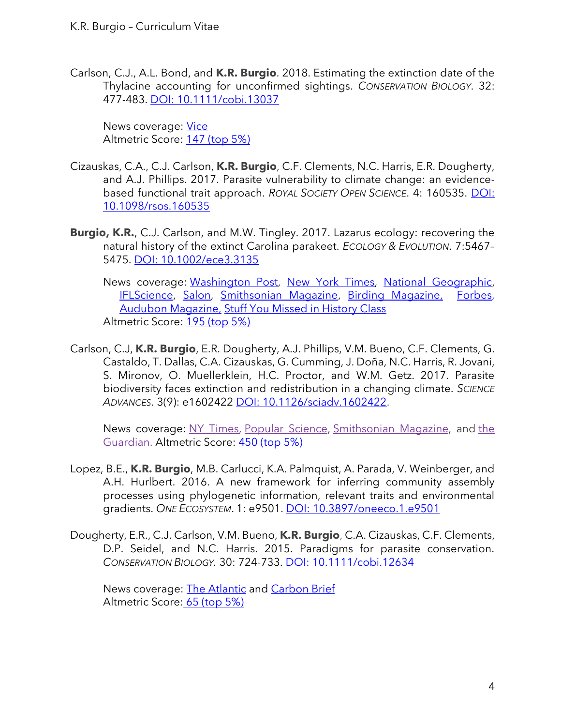Carlson, C.J., A.L. Bond, and **K.R. Burgio**. 2018. Estimating the extinction date of the Thylacine accounting for unconfirmed sightings. *CONSERVATION BIOLOGY*. 32: 477-483. [DOI: 10.1111/cobi.13037](https://onlinelibrary.wiley.com/doi/abs/10.1111/cobi.13037)

News coverage: [Vice](https://www.vice.com/en_au/article/bmem3a/theres-a-one-in-16-trillion-chance-that-tasmanian-tigers-arent-extinct) [Altmetric Score: 147 \(top 5%\)](https://wiley.altmetric.com/details/27915416)

- Cizauskas, C.A., C.J. Carlson, **K.R. Burgio**, C.F. Clements, N.C. Harris, E.R. Dougherty, and A.J. Phillips. 2017. Parasite vulnerability to climate change: an evidencebased functional trait approach. *ROYAL SOCIETY OPEN SCIENCE*. 4: 160535. [DOI:](https://royalsocietypublishing.org/doi/full/10.1098/rsos.160535)  [10.1098/rsos.160535](https://royalsocietypublishing.org/doi/full/10.1098/rsos.160535)
- **Burgio, K.R.**, C.J. Carlson, and M.W. Tingley. 2017. Lazarus ecology: recovering the natural history of the extinct Carolina parakeet. *ECOLOGY & EVOLUTION*. 7:5467– 5475. [DOI: 10.1002/ece3.3135](https://onlinelibrary.wiley.com/doi/pdf/10.1002/ece3.3135)

News coverage: [Washington Post,](https://www.washingtonpost.com/national/health-science/the-mysterious-and-tragic-story-of-the-carolina-parakeet-americas-only-native-parrot/2018/03/30/4b3c5226-32a2-11e8-8abc-22a366b72f2d_story.html?utm_term=.d788de46bf49) [New York Times,](https://www.nytimes.com/2019/12/20/science/carolina-parakeet-genome.html) [National Geographic,](https://www.nationalgeographic.com/animals/2019/12/carolina-parakeets-extinction-birds-united-states/) [IFLScience,](http://www.iflscience.com/plants-and-animals/the-tragic-story-of-americas-only-native-parrot-now-extinct-for-100-years/) [Salon,](https://www.salon.com/2018/04/01/the-tragic-story-of-americas-only-native-parrot-now-extinct-for-100-years_partner/) [Smithsonian Magazine,](https://www.smithsonianmag.com/science-nature/why-carolina-parakeet-go-extinct-180968740/) [Birding Magazine,](http://publications.aba.org/birding-online-august-2017/) [Forbes,](https://www.forbes.com/sites/grrlscientist/2018/02/21/what-happened-to-americas-only-parrot/#21643d9e58cf) [Audubon Magazine,](http://www.audubon.org/magazine/winter-2017/we-now-know-real-range-extinct-carolina-parakeet) [Stuff You Missed in History Class](https://www.missedinhistory.com/podcasts/last-carolina-parakeet.htm) [Altmetric Score: 195](https://wiley.altmetric.com/details/21021161) (top 5%)

Carlson, C.J, **K.R. Burgio**, E.R. Dougherty, A.J. Phillips, V.M. Bueno, C.F. Clements, G. Castaldo, T. Dallas, C.A. Cizauskas, G. Cumming, J. Doña, N.C. Harris, R. Jovani, S. Mironov, O. Muellerklein, H.C. Proctor, and W.M. Getz. 2017. Parasite biodiversity faces extinction and redistribution in a changing climate. *SCIENCE ADVANCES*. 3(9): e1602422 [DOI: 10.1126/sciadv.1602422.](http://advances.sciencemag.org/content/advances/3/9/e1602422.full.pdf)

News coverage: NY [Times,](https://www.nytimes.com/2017/09/13/science/parasites-extinction-climate-change.html?mcubz=3&_r=0) Popular [Science,](http://www.popsci.com/parasite-extinct-climate-change) [Smithsonian](http://www.smithsonianmag.com/science-nature/parasites-are-going-extinct-heres-why-thats-a-bad-thing-180964808/) Magazine, and [the](https://www.theguardian.com/environment/2017/sep/06/climate-change-could-wipe-out-a-third-of-parasite-species-study-finds) [Guardian.](https://www.theguardian.com/environment/2017/sep/06/climate-change-could-wipe-out-a-third-of-parasite-species-study-finds) [Altmetric](https://scienceadvances.altmetric.com/details/24870086) Score: 450 (top 5%)

- Lopez, B.E., **K.R. Burgio**, M.B. Carlucci, K.A. Palmquist, A. Parada, V. Weinberger, and A.H. Hurlbert. 2016. A new framework for inferring community assembly processes using phylogenetic information, relevant traits and environmental gradients. *ONE ECOSYSTEM*. 1: e9501. [DOI: 10.3897/oneeco.1.e9501](https://doi.org/10.3897/oneeco.1.e9501)
- Dougherty, E.R., C.J. Carlson, V.M. Bueno, **K.R. Burgio**, C.A. Cizauskas, C.F. Clements, D.P. Seidel, and N.C. Harris. 2015. Paradigms for parasite conservation. *CONSERVATION BIOLOGY.* 30: 724-733. [DOI: 10.1111/cobi.12634](https://doi.org/10.1111/cobi.12634)

News coverage: [The Atlantic](https://www.theatlantic.com/science/archive/2015/09/save-the-parasites/407701/) and [Carbon Brief](https://www.carbonbrief.org/climate-change-drive-third-parasites-extinction-2070?utm_source=feedburner&utm_medium=feed&utm_campaign=Feed%3A+carbonbrief+%28The+Carbon+Brief%29) [Altmetric Score:](https://wiley.altmetric.com/details/4549226) 65 (top 5%)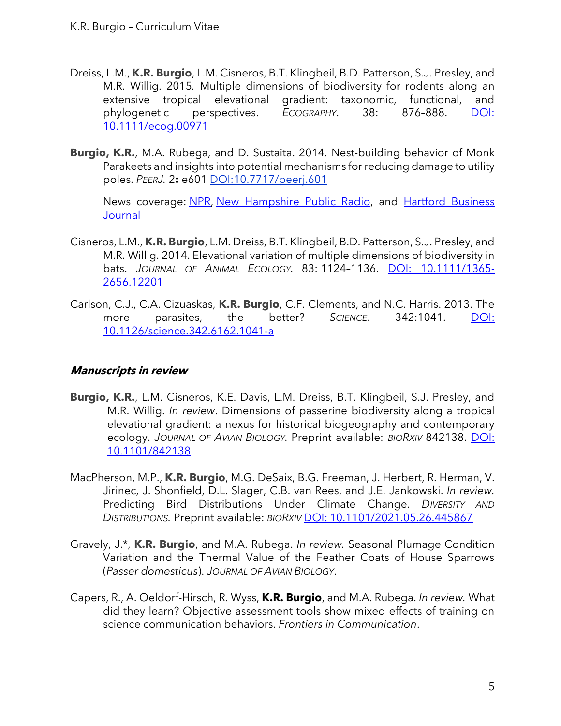- Dreiss, L.M., **K.R. Burgio**, L.M. Cisneros, B.T. Klingbeil, B.D. Patterson, S.J. Presley, and M.R. Willig. 2015*.* Multiple dimensions of biodiversity for rodents along an extensive tropical elevational gradient: taxonomic, functional, and phylogenetic perspectives. *ECOGRAPHY*. 38: 876–888. [DOI:](https://doi.org/10.1111/ecog.00971)  [10.1111/ecog.00971](https://doi.org/10.1111/ecog.00971)
- **Burgio, K.R.**, M.A. Rubega, and D. Sustaita. 2014. Nest-building behavior of Monk Parakeets and insights into potential mechanisms for reducing damage to utility poles. *PEERJ.* 2**:** e601 [DOI:10.7717/peerj.601](http://dx.doi.org/10.7717/peerj.601)

News coverage: [NPR,](http://wnpr.org/post/unusual-non-lethal-idea-deal-connecticuts-pesky-monk-parakeets) [New Hampshire Public Radio,](http://nhpr.org/post/unusual-non-lethal-idea-deal-connecticuts-pesky-monk-parakeets) and [Hartford Business](http://www.hartfordbusiness.com/article/20150309/PRINTEDITION/303059953/uconn-southington-manufacturer-team-to-battle-animal-induced-power-outages)  **[Journal](http://www.hartfordbusiness.com/article/20150309/PRINTEDITION/303059953/uconn-southington-manufacturer-team-to-battle-animal-induced-power-outages)** 

- Cisneros, L.M., **K.R. Burgio**, L.M. Dreiss, B.T. Klingbeil, B.D. Patterson, S.J. Presley, and M.R. Willig. 2014. Elevational variation of multiple dimensions of biodiversity in bats. *JOURNAL OF ANIMAL ECOLOGY.* 83: 1124–1136. [DOI: 10.1111/1365-](https://doi.org/10.1111/1365-2656.12201) [2656.12201](https://doi.org/10.1111/1365-2656.12201)
- Carlson, C.J., C.A. Cizuaskas, **K.R. Burgio**, C.F. Clements, and N.C. Harris. 2013. The more parasites, the better? *SCIENCE*. 342:1041. [DOI:](https://doi.org/10.1126/science.342.6162.1041-a)  [10.1126/science.342.6162.1041-a](https://doi.org/10.1126/science.342.6162.1041-a)

# **Manuscripts in review**

- **Burgio, K.R.**, L.M. Cisneros, K.E. Davis, L.M. Dreiss, B.T. Klingbeil, S.J. Presley, and M.R. Willig. *In review*. Dimensions of passerine biodiversity along a tropical elevational gradient: a nexus for historical biogeography and contemporary ecology. *JOURNAL OF AVIAN BIOLOGY.* Preprint available: *BIORXIV* 842138. [DOI:](https://doi.org/10.1101/842138)  [10.1101/842138](https://doi.org/10.1101/842138)
- MacPherson, M.P., **K.R. Burgio**, M.G. DeSaix, B.G. Freeman, J. Herbert, R. Herman, V. Jirinec, J. Shonfield, D.L. Slager, C.B. van Rees, and J.E. Jankowski. *In review.* Predicting Bird Distributions Under Climate Change. *DIVERSITY AND DISTRIBUTIONS.* Preprint available: *BIORXIV* DOI: [10.1101/2021.05.26.445867](https://doi.org/10.1101/2021.05.26.445867)
- Gravely, J.\*, **K.R. Burgio**, and M.A. Rubega. *In review.* Seasonal Plumage Condition Variation and the Thermal Value of the Feather Coats of House Sparrows (*Passer domesticus*). *JOURNAL OF AVIAN BIOLOGY*.
- Capers, R., A. Oeldorf-Hirsch, R. Wyss, **K.R. Burgio**, and M.A. Rubega. *In review.* What did they learn? Objective assessment tools show mixed effects of training on science communication behaviors. *Frontiers in Communication*.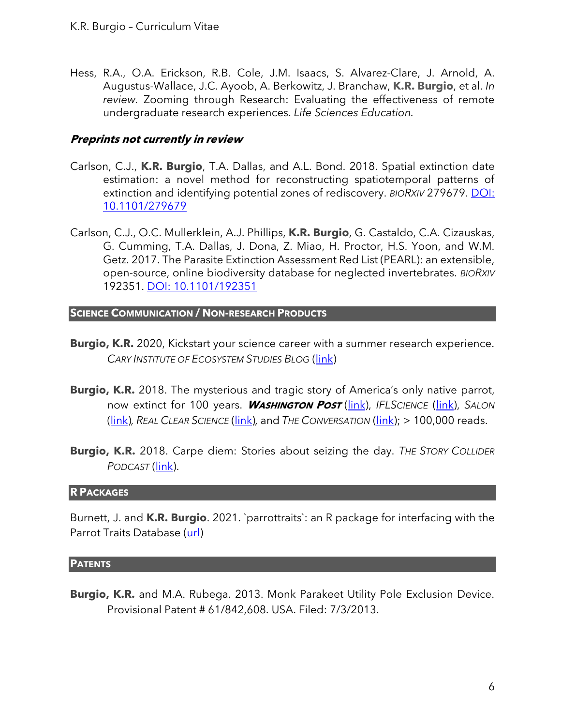Hess, R.A., O.A. Erickson, R.B. Cole, J.M. Isaacs, S. Alvarez-Clare, J. Arnold, A. Augustus-Wallace, J.C. Ayoob, A. Berkowitz, J. Branchaw, **K.R. Burgio**, et al. *In review.* Zooming through Research: Evaluating the effectiveness of remote undergraduate research experiences. *Life Sciences Education.*

#### **Preprints not currently in review**

- Carlson, C.J., **K.R. Burgio**, T.A. Dallas, and A.L. Bond. 2018. Spatial extinction date estimation: a novel method for reconstructing spatiotemporal patterns of extinction and identifying potential zones of rediscovery. *BIORXIV* 279679. [DOI:](https://doi.org/10.1101/279679)  [10.1101/279679](https://doi.org/10.1101/279679)
- Carlson, C.J., O.C. Mullerklein, A.J. Phillips, **K.R. Burgio**, G. Castaldo, C.A. Cizauskas, G. Cumming, T.A. Dallas, J. Dona, Z. Miao, H. Proctor, H.S. Yoon, and W.M. Getz. 2017. The Parasite Extinction Assessment Red List (PEARL): an extensible, open-source, online biodiversity database for neglected invertebrates. *BIORXIV*  192351. [DOI: 10.1101/192351](https://doi.org/10.1101/192351)

#### **SCIENCE COMMUNICATION / NON-RESEARCH PRODUCTS**

- **Burgio, K.R.** 2020, Kickstart your science career with a summer research experience. *CARY INSTITUTE OF ECOSYSTEM STUDIES BLOG* [\(link\)](https://www.caryinstitute.org/news-insights/feature/kickstart-your-science-career-summer-research-experience?fbclid=IwAR3pC8TzFUQ2ZLBaQuVhRjK_WtCJQnJHMXLKMHPtKNHaDx0fMZvzQIewrOA)
- **Burgio, K.R.** 2018. The mysterious and tragic story of America's only native parrot, now extinct for 100 years. **WASHINGTON POST** [\(link\)](https://www.washingtonpost.com/national/health-science/the-mysterious-and-tragic-story-of-the-carolina-parakeet-americas-only-native-parrot/2018/03/30/4b3c5226-32a2-11e8-8abc-22a366b72f2d_story.html?utm_term=.85cc028dd94e), *IFLSCIENCE* [\(link\)](http://www.iflscience.com/plants-and-animals/the-tragic-story-of-americas-only-native-parrot-now-extinct-for-100-years/), *SALON*  [\(link\)](https://www.salon.com/2018/04/01/the-tragic-story-of-americas-only-native-parrot-now-extinct-for-100-years_partner/)*, REAL CLEAR SCIENCE* [\(link\)](https://www.realclearscience.com/articles/2018/03/31/the_tragic_story_of_americas_only_native_parrot_110593.html)*,* and *THE CONVERSATION* [\(link\)](https://theconversation.com/the-tragic-story-of-americas-only-native-parrot-now-extinct-for-100-years-93038); > 100,000 reads.
- **Burgio, K.R.** 2018. Carpe diem: Stories about seizing the day. *THE STORY COLLIDER PODCAST* [\(link\)](https://www.storycollider.org/stories/2018/12/21/carpe-diem-stories-about-seizing-the-day).

#### **R PACKAGES**

Burnett, J. and **K.R. Burgio**. 2021. `parrottraits`: an R package for interfacing with the Parrot Traits Database [\(url\)](https://github.com/trashbirdecology/parrottraits/)

#### **PATENTS**

**Burgio, K.R.** and M.A. Rubega. 2013. Monk Parakeet Utility Pole Exclusion Device. Provisional Patent # 61/842,608. USA. Filed: 7/3/2013.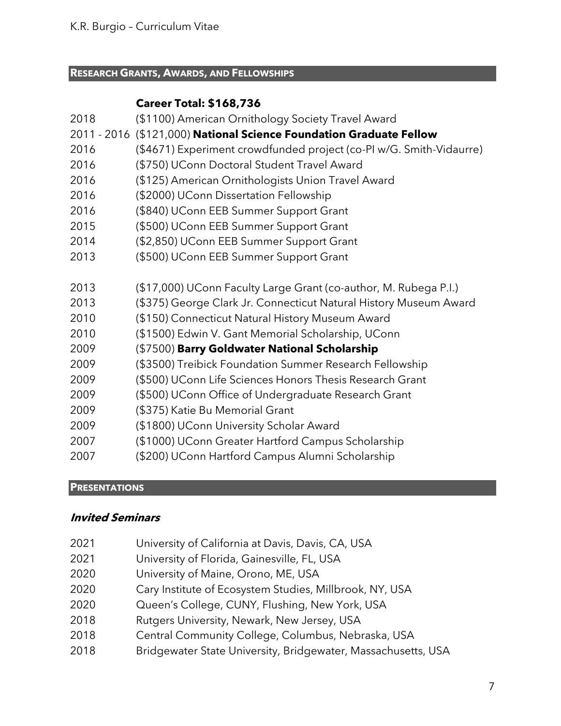#### **RESEARCH GRANTS, AWARDS, AND FELLOWSHIPS**

# **Career Total: \$168,736**

| 2018 | (\$1100) American Ornithology Society Travel Award                  |
|------|---------------------------------------------------------------------|
|      | 2011 - 2016 (\$121,000) National Science Foundation Graduate Fellow |
| 2016 | (\$4671) Experiment crowdfunded project (co-PI w/G. Smith-Vidaurre) |
| 2016 | (\$750) UConn Doctoral Student Travel Award                         |
| 2016 | (\$125) American Ornithologists Union Travel Award                  |
| 2016 | (\$2000) UConn Dissertation Fellowship                              |
| 2016 | (\$840) UConn EEB Summer Support Grant                              |
| 2015 | (\$500) UConn EEB Summer Support Grant                              |
| 2014 | (\$2,850) UConn EEB Summer Support Grant                            |
| 2013 | (\$500) UConn EEB Summer Support Grant                              |
| 2013 | (\$17,000) UConn Faculty Large Grant (co-author, M. Rubega P.I.)    |
| 2013 | (\$375) George Clark Jr. Connecticut Natural History Museum Award   |
| 2010 | (\$150) Connecticut Natural History Museum Award                    |
| 2010 | (\$1500) Edwin V. Gant Memorial Scholarship, UConn                  |
| 2009 | (\$7500) Barry Goldwater National Scholarship                       |
| 2009 | (\$3500) Treibick Foundation Summer Research Fellowship             |
| 2009 | (\$500) UConn Life Sciences Honors Thesis Research Grant            |
| 2009 | (\$500) UConn Office of Undergraduate Research Grant                |
| 2009 | (\$375) Katie Bu Memorial Grant                                     |
| 2009 | (\$1800) UConn University Scholar Award                             |
| 2007 | (\$1000) UConn Greater Hartford Campus Scholarship                  |
| 2007 | (\$200) UConn Hartford Campus Alumni Scholarship                    |

#### **PRESENTATIONS**

# **Invited Seminars**

- University of California at Davis, Davis, CA, USA
- University of Florida, Gainesville, FL, USA
- University of Maine, Orono, ME, USA
- 2020 Cary Institute of Ecosystem Studies, Millbrook, NY, USA
- Queen's College, CUNY, Flushing, New York, USA
- Rutgers University, Newark, New Jersey, USA
- Central Community College, Columbus, Nebraska, USA
- Bridgewater State University, Bridgewater, Massachusetts, USA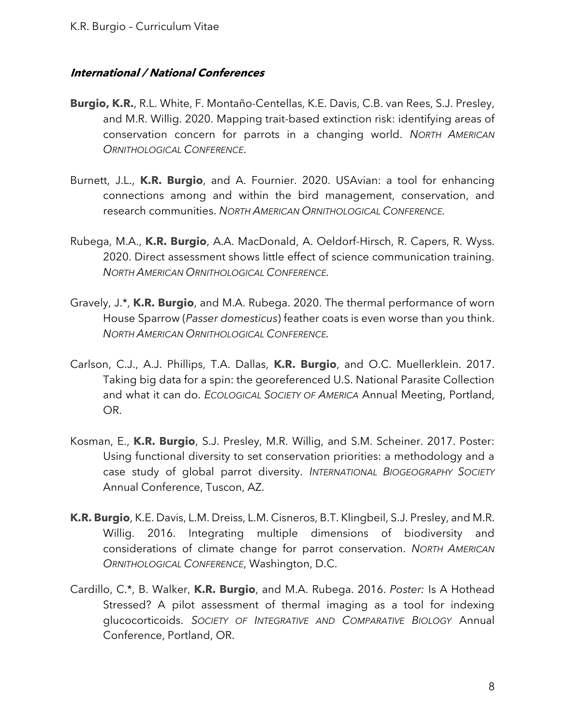# **International / National Conferences**

- **Burgio, K.R.**, R.L. White, F. Montaño-Centellas, K.E. Davis, C.B. van Rees, S.J. Presley, and M.R. Willig. 2020. Mapping trait-based extinction risk: identifying areas of conservation concern for parrots in a changing world. *NORTH AMERICAN ORNITHOLOGICAL CONFERENCE*.
- Burnett, J.L., **K.R. Burgio**, and A. Fournier. 2020. USAvian: a tool for enhancing connections among and within the bird management, conservation, and research communities. *NORTH AMERICAN ORNITHOLOGICAL CONFERENCE.*
- Rubega, M.A., **K.R. Burgio**, A.A. MacDonald, A. Oeldorf-Hirsch, R. Capers, R. Wyss. 2020. Direct assessment shows little effect of science communication training. *NORTH AMERICAN ORNITHOLOGICAL CONFERENCE.*
- Gravely, J.\*, **K.R. Burgio**, and M.A. Rubega. 2020. The thermal performance of worn House Sparrow (*Passer domesticus*) feather coats is even worse than you think. *NORTH AMERICAN ORNITHOLOGICAL CONFERENCE.*
- Carlson, C.J., A.J. Phillips, T.A. Dallas, **K.R. Burgio**, and O.C. Muellerklein. 2017. Taking big data for a spin: the georeferenced U.S. National Parasite Collection and what it can do. *ECOLOGICAL SOCIETY OF AMERICA* Annual Meeting, Portland, OR.
- Kosman, E., **K.R. Burgio**, S.J. Presley, M.R. Willig, and S.M. Scheiner. 2017. Poster: Using functional diversity to set conservation priorities: a methodology and a case study of global parrot diversity. *INTERNATIONAL BIOGEOGRAPHY SOCIETY* Annual Conference, Tuscon, AZ.
- **K.R. Burgio**, K.E. Davis, L.M. Dreiss, L.M. Cisneros, B.T. Klingbeil, S.J. Presley, and M.R. Willig. 2016. Integrating multiple dimensions of biodiversity and considerations of climate change for parrot conservation. *NORTH AMERICAN ORNITHOLOGICAL CONFERENCE*, Washington, D.C.
- Cardillo, C.\*, B. Walker, **K.R. Burgio**, and M.A. Rubega. 2016. *Poster:* Is A Hothead Stressed? A pilot assessment of thermal imaging as a tool for indexing glucocorticoids. *SOCIETY OF INTEGRATIVE AND COMPARATIVE BIOLOGY* Annual Conference, Portland, OR.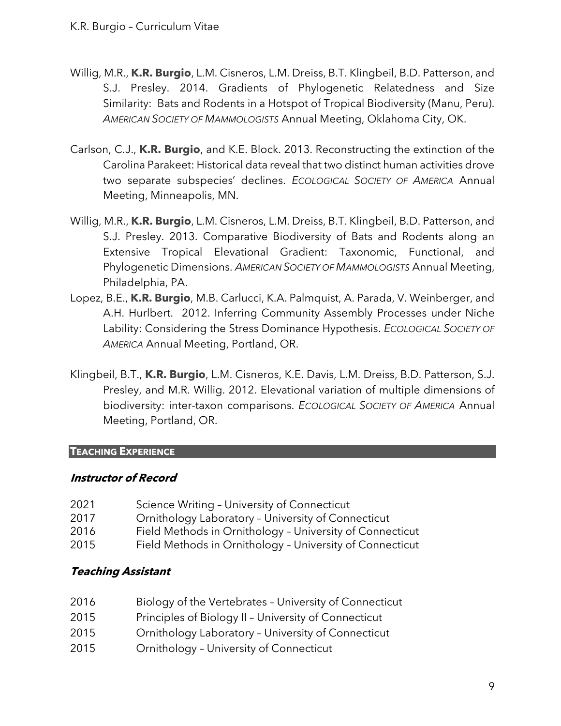- Willig, M.R., **K.R. Burgio**, L.M. Cisneros, L.M. Dreiss, B.T. Klingbeil, B.D. Patterson, and S.J. Presley. 2014. Gradients of Phylogenetic Relatedness and Size Similarity: Bats and Rodents in a Hotspot of Tropical Biodiversity (Manu, Peru). *AMERICAN SOCIETY OF MAMMOLOGISTS* Annual Meeting, Oklahoma City, OK.
- Carlson, C.J., **K.R. Burgio**, and K.E. Block. 2013. Reconstructing the extinction of the Carolina Parakeet: Historical data reveal that two distinct human activities drove two separate subspecies' declines. *ECOLOGICAL SOCIETY OF AMERICA* Annual Meeting, Minneapolis, MN.
- Willig, M.R., **K.R. Burgio**, L.M. Cisneros, L.M. Dreiss, B.T. Klingbeil, B.D. Patterson, and S.J. Presley. 2013. Comparative Biodiversity of Bats and Rodents along an Extensive Tropical Elevational Gradient: Taxonomic, Functional, and Phylogenetic Dimensions. *AMERICAN SOCIETY OF MAMMOLOGISTS* Annual Meeting, Philadelphia, PA.
- Lopez, B.E., **K.R. Burgio**, M.B. Carlucci, K.A. Palmquist, A. Parada, V. Weinberger, and A.H. Hurlbert. 2012. Inferring Community Assembly Processes under Niche Lability: Considering the Stress Dominance Hypothesis. *ECOLOGICAL SOCIETY OF AMERICA* Annual Meeting, Portland, OR.
- Klingbeil, B.T., **K.R. Burgio**, L.M. Cisneros, K.E. Davis, L.M. Dreiss, B.D. Patterson, S.J. Presley, and M.R. Willig. 2012. Elevational variation of multiple dimensions of biodiversity: inter-taxon comparisons. *ECOLOGICAL SOCIETY OF AMERICA* Annual Meeting, Portland, OR.

# **TEACHING EXPERIENCE**

# **Instructor of Record**

2021 Science Writing - University of Connecticut Ornithology Laboratory – University of Connecticut Field Methods in Ornithology – University of Connecticut Field Methods in Ornithology – University of Connecticut

# **Teaching Assistant**

- 2016 Biology of the Vertebrates University of Connecticut
- 2015 Principles of Biology II University of Connecticut
- 2015 Ornithology Laboratory University of Connecticut
- 2015 Ornithology University of Connecticut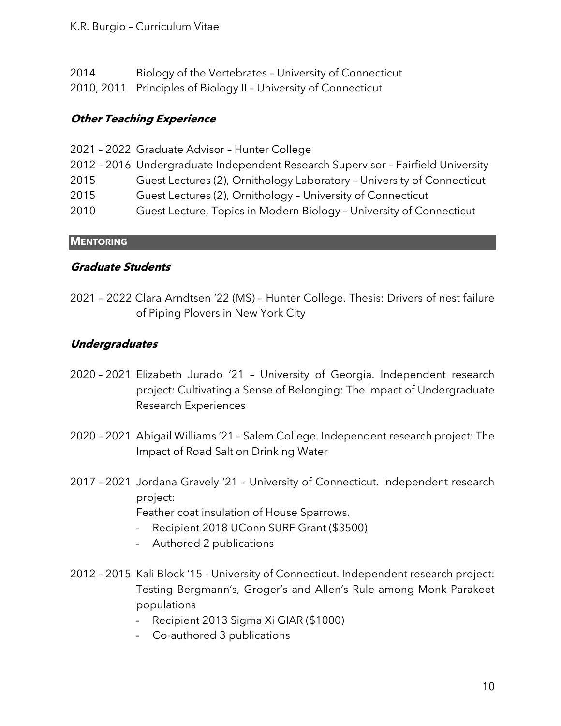# K.R. Burgio – Curriculum Vitae

| Biology of the Vertebrates - University of Connecticut<br>2014 |  |
|----------------------------------------------------------------|--|
|----------------------------------------------------------------|--|

2010, 2011 Principles of Biology II – University of Connecticut

# **Other Teaching Experience**

|      | 2021 - 2022 Graduate Advisor - Hunter College                                    |
|------|----------------------------------------------------------------------------------|
|      | 2012 - 2016 Undergraduate Independent Research Supervisor - Fairfield University |
| 2015 | Guest Lectures (2), Ornithology Laboratory - University of Connecticut           |
| 2015 | Guest Lectures (2), Ornithology - University of Connecticut                      |
| 2010 | Guest Lecture, Topics in Modern Biology - University of Connecticut              |
|      |                                                                                  |

**MENTORING**

# **Graduate Students**

2021 – 2022 Clara Arndtsen '22 (MS) – Hunter College. Thesis: Drivers of nest failure of Piping Plovers in New York City

# **Undergraduates**

- 2020 2021 Elizabeth Jurado '21 University of Georgia. Independent research project: Cultivating a Sense of Belonging: The Impact of Undergraduate Research Experiences
- 2020 2021 Abigail Williams '21 Salem College. Independent research project: The Impact of Road Salt on Drinking Water
- 2017 2021 Jordana Gravely '21 University of Connecticut. Independent research project:

Feather coat insulation of House Sparrows.

- Recipient 2018 UConn SURF Grant (\$3500)
- Authored 2 publications
- 2012 2015 Kali Block '15 University of Connecticut. Independent research project: Testing Bergmann's, Groger's and Allen's Rule among Monk Parakeet populations
	- Recipient 2013 Sigma Xi GIAR (\$1000)
	- Co-authored 3 publications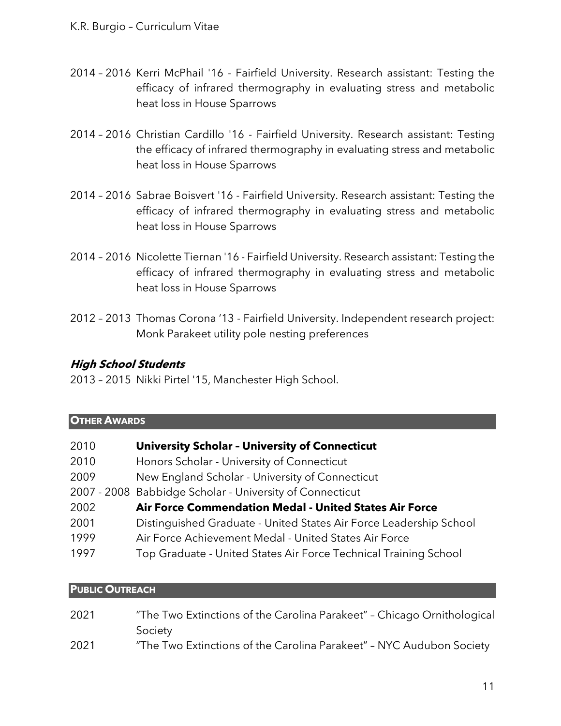- 2014 2016 Kerri McPhail '16 Fairfield University. Research assistant: Testing the efficacy of infrared thermography in evaluating stress and metabolic heat loss in House Sparrows
- 2014 2016 Christian Cardillo '16 Fairfield University. Research assistant: Testing the efficacy of infrared thermography in evaluating stress and metabolic heat loss in House Sparrows
- 2014 2016 Sabrae Boisvert '16 Fairfield University. Research assistant: Testing the efficacy of infrared thermography in evaluating stress and metabolic heat loss in House Sparrows
- 2014 2016 Nicolette Tiernan '16 Fairfield University. Research assistant: Testing the efficacy of infrared thermography in evaluating stress and metabolic heat loss in House Sparrows
- 2012 2013 Thomas Corona '13 Fairfield University. Independent research project: Monk Parakeet utility pole nesting preferences

# **High School Students**

2013 – 2015 Nikki Pirtel '15, Manchester High School.

| <b>OTHER AWARDS</b> |                                                                    |  |
|---------------------|--------------------------------------------------------------------|--|
| 2010                | <b>University Scholar - University of Connecticut</b>              |  |
| 2010                | Honors Scholar - University of Connecticut                         |  |
| 2009                | New England Scholar - University of Connecticut                    |  |
|                     | 2007 - 2008 Babbidge Scholar - University of Connecticut           |  |
| 2002                | Air Force Commendation Medal - United States Air Force             |  |
| 2001                | Distinguished Graduate - United States Air Force Leadership School |  |
| 1999                | Air Force Achievement Medal - United States Air Force              |  |
| 1997                | Top Graduate - United States Air Force Technical Training School   |  |

#### **PUBLIC OUTREACH**

| 2021 | "The Two Extinctions of the Carolina Parakeet" - Chicago Ornithological |
|------|-------------------------------------------------------------------------|
|      | Society                                                                 |
| 2021 | "The Two Extinctions of the Carolina Parakeet" - NYC Audubon Society    |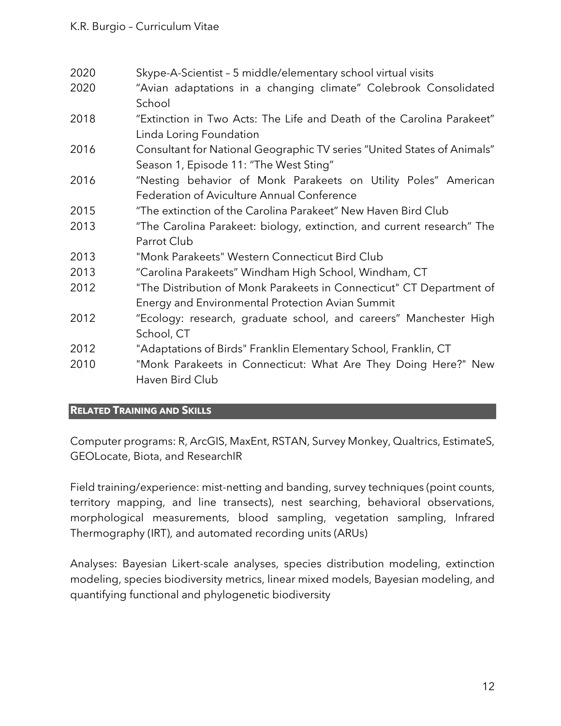| 2020 | Skype-A-Scientist - 5 middle/elementary school virtual visits           |
|------|-------------------------------------------------------------------------|
| 2020 | "Avian adaptations in a changing climate" Colebrook Consolidated        |
|      | School                                                                  |
| 2018 | "Extinction in Two Acts: The Life and Death of the Carolina Parakeet"   |
|      | Linda Loring Foundation                                                 |
| 2016 | Consultant for National Geographic TV series "United States of Animals" |
|      | Season 1, Episode 11: "The West Sting"                                  |
| 2016 | "Nesting behavior of Monk Parakeets on Utility Poles" American          |
|      | Federation of Aviculture Annual Conference                              |
| 2015 | "The extinction of the Carolina Parakeet" New Haven Bird Club           |
| 2013 | "The Carolina Parakeet: biology, extinction, and current research" The  |
|      | Parrot Club                                                             |
| 2013 | "Monk Parakeets" Western Connecticut Bird Club                          |
| 2013 | "Carolina Parakeets" Windham High School, Windham, CT                   |
| 2012 | "The Distribution of Monk Parakeets in Connecticut" CT Department of    |
|      | Energy and Environmental Protection Avian Summit                        |
| 2012 | "Ecology: research, graduate school, and careers" Manchester High       |
|      | School, CT                                                              |
| 2012 | "Adaptations of Birds" Franklin Elementary School, Franklin, CT         |
| 2010 | "Monk Parakeets in Connecticut: What Are They Doing Here?" New          |
|      | Haven Bird Club                                                         |
|      |                                                                         |

# **RELATED TRAINING AND SKILLS**

Computer programs: R, ArcGIS, MaxEnt, RSTAN, Survey Monkey, Qualtrics, EstimateS, GEOLocate, Biota, and ResearchIR

Field training/experience: mist-netting and banding, survey techniques (point counts, territory mapping, and line transects), nest searching, behavioral observations, morphological measurements, blood sampling, vegetation sampling, Infrared Thermography (IRT), and automated recording units (ARUs)

Analyses: Bayesian Likert-scale analyses, species distribution modeling, extinction modeling, species biodiversity metrics, linear mixed models, Bayesian modeling, and quantifying functional and phylogenetic biodiversity